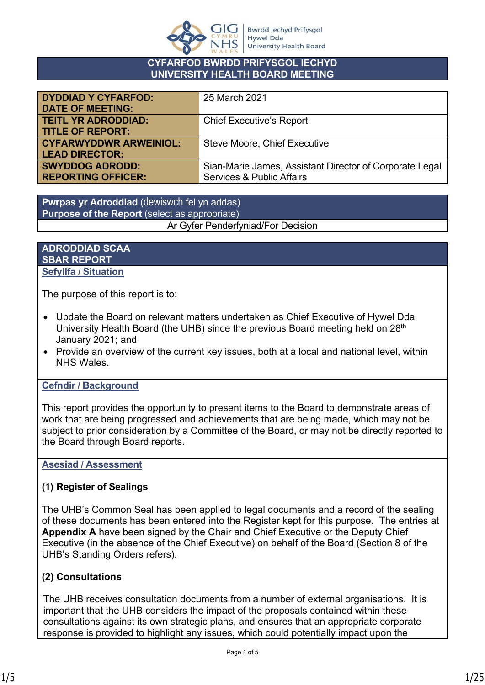

#### **CYFARFOD BWRDD PRIFYSGOL IECHYD UNIVERSITY HEALTH BOARD MEETING**

| <b>DYDDIAD Y CYFARFOD:</b>    | 25 March 2021                                           |
|-------------------------------|---------------------------------------------------------|
| <b>DATE OF MEETING:</b>       |                                                         |
|                               |                                                         |
| <b>TEITL YR ADRODDIAD:</b>    | <b>Chief Executive's Report</b>                         |
| <b>TITLE OF REPORT:</b>       |                                                         |
|                               |                                                         |
| <b>CYFARWYDDWR ARWEINIOL:</b> | Steve Moore, Chief Executive                            |
| <b>LEAD DIRECTOR:</b>         |                                                         |
|                               |                                                         |
| <b>SWYDDOG ADRODD:</b>        | Sian-Marie James, Assistant Director of Corporate Legal |
| <b>REPORTING OFFICER:</b>     | <b>Services &amp; Public Affairs</b>                    |
|                               |                                                         |

**Pwrpas yr Adroddiad** (dewiswch fel yn addas) **Purpose of the Report** (select as appropriate) Ar Gyfer Penderfyniad/For Decision

#### **ADRODDIAD SCAA SBAR REPORT Sefyllfa / Situation**

The purpose of this report is to:

- Update the Board on relevant matters undertaken as Chief Executive of Hywel Dda University Health Board (the UHB) since the previous Board meeting held on 28<sup>th</sup> January 2021; and
- Provide an overview of the current key issues, both at a local and national level, within NHS Wales.

#### **Cefndir / Background**

This report provides the opportunity to present items to the Board to demonstrate areas of work that are being progressed and achievements that are being made, which may not be subject to prior consideration by a Committee of the Board, or may not be directly reported to the Board through Board reports.

#### **Asesiad / Assessment**

#### **(1) Register of Sealings**

The UHB's Common Seal has been applied to legal documents and a record of the sealing of these documents has been entered into the Register kept for this purpose. The entries at **Appendix A** have been signed by the Chair and Chief Executive or the Deputy Chief Executive (in the absence of the Chief Executive) on behalf of the Board (Section 8 of the UHB's Standing Orders refers).

#### **(2) Consultations**

The UHB receives consultation documents from a number of external organisations. It is important that the UHB considers the impact of the proposals contained within these consultations against its own strategic plans, and ensures that an appropriate corporate response is provided to highlight any issues, which could potentially impact upon the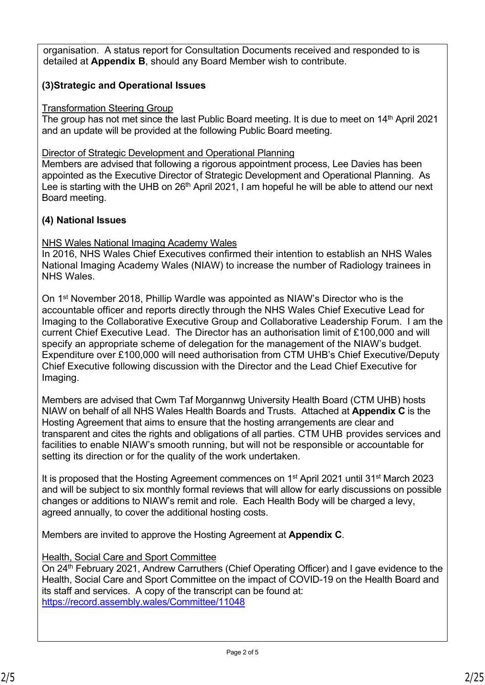organisation. A status report for Consultation Documents received and responded to is detailed at **Appendix B**, should any Board Member wish to contribute.

#### **(3)Strategic and Operational Issues**

#### Transformation Steering Group

The group has not met since the last Public Board meeting. It is due to meet on 14<sup>th</sup> April 2021 and an update will be provided at the following Public Board meeting.

Director of Strategic Development and Operational Planning

Members are advised that following a rigorous appointment process, Lee Davies has been appointed as the Executive Director of Strategic Development and Operational Planning. As Lee is starting with the UHB on  $26<sup>th</sup>$  April 2021, I am hopeful he will be able to attend our next Board meeting.

#### **(4) National Issues**

#### NHS Wales National Imaging Academy Wales

In 2016, NHS Wales Chief Executives confirmed their intention to establish an NHS Wales National Imaging Academy Wales (NIAW) to increase the number of Radiology trainees in NHS Wales.

On 1st November 2018, Phillip Wardle was appointed as NIAW's Director who is the accountable officer and reports directly through the NHS Wales Chief Executive Lead for Imaging to the Collaborative Executive Group and Collaborative Leadership Forum. I am the current Chief Executive Lead. The Director has an authorisation limit of £100,000 and will specify an appropriate scheme of delegation for the management of the NIAW's budget. Expenditure over £100,000 will need authorisation from CTM UHB's Chief Executive/Deputy Chief Executive following discussion with the Director and the Lead Chief Executive for Imaging.

Members are advised that Cwm Taf Morgannwg University Health Board (CTM UHB) hosts NIAW on behalf of all NHS Wales Health Boards and Trusts. Attached at **Appendix C** is the Hosting Agreement that aims to ensure that the hosting arrangements are clear and transparent and cites the rights and obligations of all parties. CTM UHB provides services and facilities to enable NIAW's smooth running, but will not be responsible or accountable for setting its direction or for the quality of the work undertaken.

It is proposed that the Hosting Agreement commences on 1st April 2021 until 31st March 2023 and will be subject to six monthly formal reviews that will allow for early discussions on possible changes or additions to NIAW's remit and role. Each Health Body will be charged a levy, agreed annually, to cover the additional hosting costs.

Members are invited to approve the Hosting Agreement at **Appendix C**.

#### Health, Social Care and Sport Committee

On 24<sup>th</sup> February 2021, Andrew Carruthers (Chief Operating Officer) and I gave evidence to the Health, Social Care and Sport Committee on the impact of COVID-19 on the Health Board and its staff and services. A copy of the transcript can be found at: <https://record.assembly.wales/Committee/11048>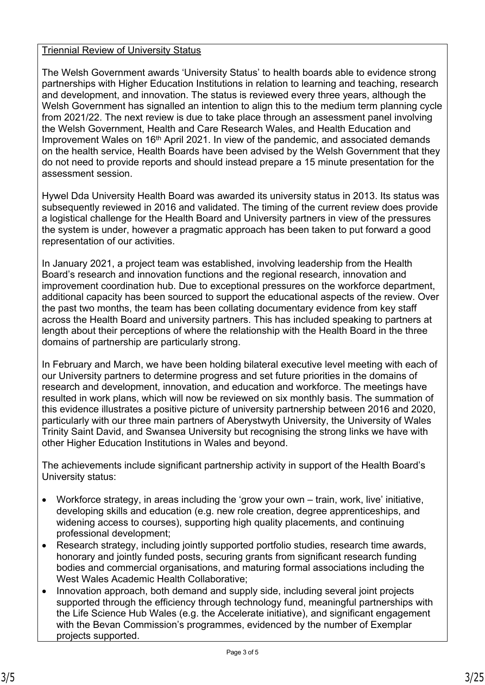#### Triennial Review of University Status

The Welsh Government awards 'University Status' to health boards able to evidence strong partnerships with Higher Education Institutions in relation to learning and teaching, research and development, and innovation. The status is reviewed every three years, although the Welsh Government has signalled an intention to align this to the medium term planning cycle from 2021/22. The next review is due to take place through an assessment panel involving the Welsh Government, Health and Care Research Wales, and Health Education and Improvement Wales on 16<sup>th</sup> April 2021. In view of the pandemic, and associated demands on the health service, Health Boards have been advised by the Welsh Government that they do not need to provide reports and should instead prepare a 15 minute presentation for the assessment session.

Hywel Dda University Health Board was awarded its university status in 2013. Its status was subsequently reviewed in 2016 and validated. The timing of the current review does provide a logistical challenge for the Health Board and University partners in view of the pressures the system is under, however a pragmatic approach has been taken to put forward a good representation of our activities.

In January 2021, a project team was established, involving leadership from the Health Board's research and innovation functions and the regional research, innovation and improvement coordination hub. Due to exceptional pressures on the workforce department, additional capacity has been sourced to support the educational aspects of the review. Over the past two months, the team has been collating documentary evidence from key staff across the Health Board and university partners. This has included speaking to partners at length about their perceptions of where the relationship with the Health Board in the three domains of partnership are particularly strong.

In February and March, we have been holding bilateral executive level meeting with each of our University partners to determine progress and set future priorities in the domains of research and development, innovation, and education and workforce. The meetings have resulted in work plans, which will now be reviewed on six monthly basis. The summation of this evidence illustrates a positive picture of university partnership between 2016 and 2020, particularly with our three main partners of Aberystwyth University, the University of Wales Trinity Saint David, and Swansea University but recognising the strong links we have with other Higher Education Institutions in Wales and beyond.

The achievements include significant partnership activity in support of the Health Board's University status:

- Workforce strategy, in areas including the 'grow your own train, work, live' initiative, developing skills and education (e.g. new role creation, degree apprenticeships, and widening access to courses), supporting high quality placements, and continuing professional development;
- Research strategy, including jointly supported portfolio studies, research time awards, honorary and jointly funded posts, securing grants from significant research funding bodies and commercial organisations, and maturing formal associations including the West Wales Academic Health Collaborative;
- Innovation approach, both demand and supply side, including several joint projects supported through the efficiency through technology fund, meaningful partnerships with the Life Science Hub Wales (e.g. the Accelerate initiative), and significant engagement with the Bevan Commission's programmes, evidenced by the number of Exemplar projects supported.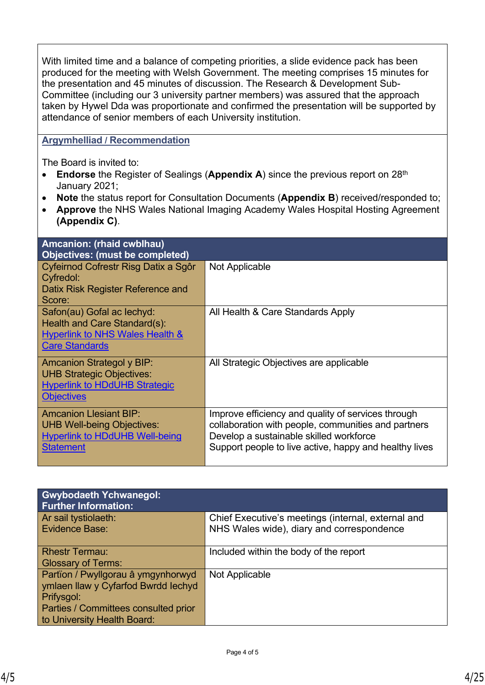With limited time and a balance of competing priorities, a slide evidence pack has been produced for the meeting with Welsh Government. The meeting comprises 15 minutes for the presentation and 45 minutes of discussion. The Research & Development Sub-Committee (including our 3 university partner members) was assured that the approach taken by Hywel Dda was proportionate and confirmed the presentation will be supported by attendance of senior members of each University institution.

#### **Argymhelliad / Recommendation**

The Board is invited to:

- **Endorse** the Register of Sealings (**Appendix A**) since the previous report on 28<sup>th</sup> January 2021;
- **Note** the status report for Consultation Documents (**Appendix B**) received/responded to;
- **Approve** the NHS Wales National Imaging Academy Wales Hospital Hosting Agreement **(Appendix C)**.

| Amcanion: (rhaid cwblhau)<br><b>Objectives: (must be completed)</b>                                                               |                                                                                                                                                                                                                |
|-----------------------------------------------------------------------------------------------------------------------------------|----------------------------------------------------------------------------------------------------------------------------------------------------------------------------------------------------------------|
| Cyfeirnod Cofrestr Risg Datix a Sgôr<br>Cyfredol:<br>Datix Risk Register Reference and<br>Score:                                  | Not Applicable                                                                                                                                                                                                 |
| Safon(au) Gofal ac lechyd:<br>Health and Care Standard(s):<br><b>Hyperlink to NHS Wales Health &amp;</b><br><b>Care Standards</b> | All Health & Care Standards Apply                                                                                                                                                                              |
| <b>Amcanion Strategol y BIP:</b><br><b>UHB Strategic Objectives:</b><br><b>Hyperlink to HDdUHB Strategic</b><br><b>Objectives</b> | All Strategic Objectives are applicable                                                                                                                                                                        |
| <b>Amcanion Llesiant BIP:</b><br><b>UHB Well-being Objectives:</b><br><b>Hyperlink to HDdUHB Well-being</b><br><b>Statement</b>   | Improve efficiency and quality of services through<br>collaboration with people, communities and partners<br>Develop a sustainable skilled workforce<br>Support people to live active, happy and healthy lives |

| <b>Gwybodaeth Ychwanegol:</b><br><b>Further Information:</b>                                                                                                   |                                                                                                 |
|----------------------------------------------------------------------------------------------------------------------------------------------------------------|-------------------------------------------------------------------------------------------------|
| Ar sail tystiolaeth:<br><b>Evidence Base:</b>                                                                                                                  | Chief Executive's meetings (internal, external and<br>NHS Wales wide), diary and correspondence |
| <b>Rhestr Termau:</b><br><b>Glossary of Terms:</b>                                                                                                             | Included within the body of the report                                                          |
| Partïon / Pwyllgorau â ymgynhorwyd<br>ymlaen llaw y Cyfarfod Bwrdd Iechyd<br>Prifysgol:<br>Parties / Committees consulted prior<br>to University Health Board: | Not Applicable                                                                                  |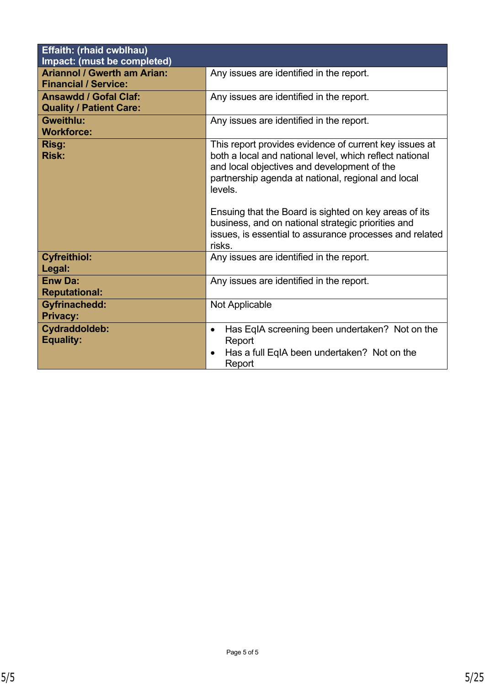| <b>Effaith: (rhaid cwblhau)</b><br>Impact: (must be completed)    |                                                                                                                                                                                                                                                                                                                                                                                                                       |
|-------------------------------------------------------------------|-----------------------------------------------------------------------------------------------------------------------------------------------------------------------------------------------------------------------------------------------------------------------------------------------------------------------------------------------------------------------------------------------------------------------|
| <b>Ariannol / Gwerth am Arian:</b><br><b>Financial / Service:</b> | Any issues are identified in the report.                                                                                                                                                                                                                                                                                                                                                                              |
| <b>Ansawdd / Gofal Claf:</b><br><b>Quality / Patient Care:</b>    | Any issues are identified in the report.                                                                                                                                                                                                                                                                                                                                                                              |
| <b>Gweithlu:</b><br><b>Workforce:</b>                             | Any issues are identified in the report.                                                                                                                                                                                                                                                                                                                                                                              |
| Risg:<br><b>Risk:</b>                                             | This report provides evidence of current key issues at<br>both a local and national level, which reflect national<br>and local objectives and development of the<br>partnership agenda at national, regional and local<br>levels.<br>Ensuing that the Board is sighted on key areas of its<br>business, and on national strategic priorities and<br>issues, is essential to assurance processes and related<br>risks. |
| <b>Cyfreithiol:</b><br>Legal:                                     | Any issues are identified in the report.                                                                                                                                                                                                                                                                                                                                                                              |
| <b>Enw Da:</b><br><b>Reputational:</b>                            | Any issues are identified in the report.                                                                                                                                                                                                                                                                                                                                                                              |
| <b>Gyfrinachedd:</b><br><b>Privacy:</b>                           | Not Applicable                                                                                                                                                                                                                                                                                                                                                                                                        |
| Cydraddoldeb:<br><b>Equality:</b>                                 | Has EqIA screening been undertaken? Not on the<br>$\bullet$<br>Report<br>Has a full EqIA been undertaken? Not on the<br>Report                                                                                                                                                                                                                                                                                        |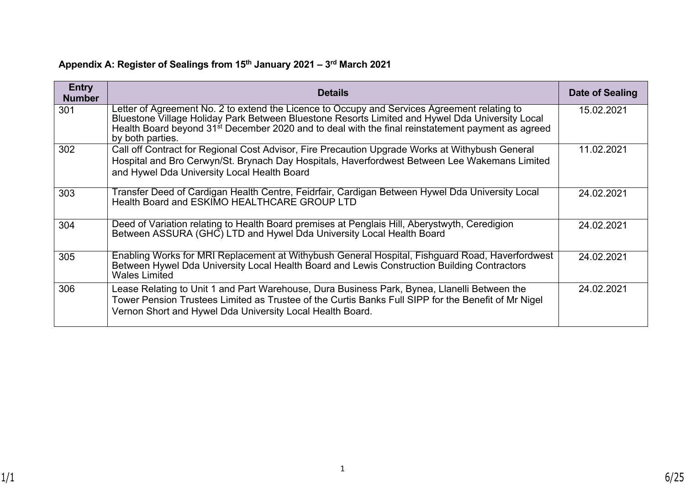# **Appendix A: Register of Sealings from 15th January 2021 – 3rd March 2021**

| <b>Entry</b><br><b>Number</b> | <b>Details</b>                                                                                                                                                                                                                                                                                                                       | Date of Sealing |
|-------------------------------|--------------------------------------------------------------------------------------------------------------------------------------------------------------------------------------------------------------------------------------------------------------------------------------------------------------------------------------|-----------------|
| 301                           | Letter of Agreement No. 2 to extend the Licence to Occupy and Services Agreement relating to<br>Bluestone Village Holiday Park Between Bluestone Resorts Limited and Hywel Dda University Local<br>Health Board beyond 31 <sup>st</sup> December 2020 and to deal with the final reinstatement payment as agreed<br>by both parties. | 15.02.2021      |
| 302                           | Call off Contract for Regional Cost Advisor, Fire Precaution Upgrade Works at Withybush General<br>Hospital and Bro Cerwyn/St. Brynach Day Hospitals, Haverfordwest Between Lee Wakemans Limited<br>and Hywel Dda University Local Health Board                                                                                      | 11.02.2021      |
| 303                           | Transfer Deed of Cardigan Health Centre, Feidrfair, Cardigan Between Hywel Dda University Local<br>Health Board and ESKIMO HEALTHCARE GROUP LTD                                                                                                                                                                                      | 24.02.2021      |
| 304                           | Deed of Variation relating to Health Board premises at Penglais Hill, Aberystwyth, Ceredigion<br>Between ASSURA (GHC) LTD and Hywel Dda University Local Health Board                                                                                                                                                                | 24.02.2021      |
| 305                           | Enabling Works for MRI Replacement at Withybush General Hospital, Fishguard Road, Haverfordwest<br>Between Hywel Dda University Local Health Board and Lewis Construction Building Contractors<br>Wales Limited                                                                                                                      | 24.02.2021      |
| 306                           | Lease Relating to Unit 1 and Part Warehouse, Dura Business Park, Bynea, Llanelli Between the<br>Tower Pension Trustees Limited as Trustee of the Curtis Banks Full SIPP for the Benefit of Mr Nigel<br>Vernon Short and Hywel Dda University Local Health Board.                                                                     | 24.02.2021      |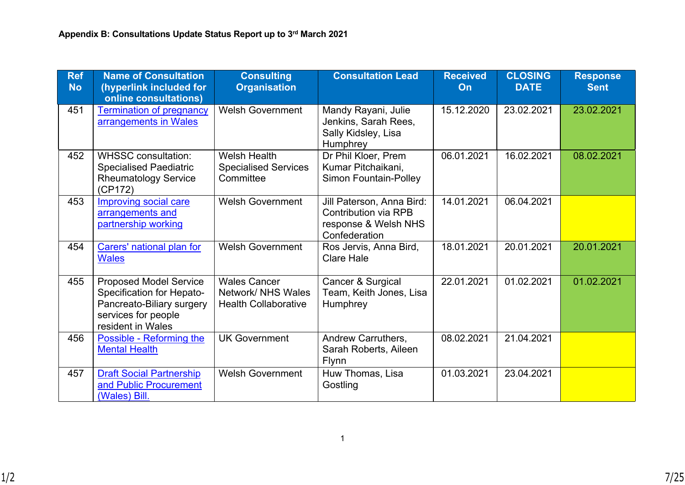| <b>Ref</b><br><b>No</b> | <b>Name of Consultation</b><br>(hyperlink included for<br>online consultations)                                                     | <b>Consulting</b><br><b>Organisation</b>                                 | <b>Consultation Lead</b>                                                                   | <b>Received</b><br>On | <b>CLOSING</b><br><b>DATE</b> | <b>Response</b><br><b>Sent</b> |
|-------------------------|-------------------------------------------------------------------------------------------------------------------------------------|--------------------------------------------------------------------------|--------------------------------------------------------------------------------------------|-----------------------|-------------------------------|--------------------------------|
| 451                     | <b>Termination of pregnancy</b><br>arrangements in Wales                                                                            | <b>Welsh Government</b>                                                  | Mandy Rayani, Julie<br>Jenkins, Sarah Rees,<br>Sally Kidsley, Lisa<br>Humphrey             | 15.12.2020            | 23.02.2021                    | 23.02.2021                     |
| 452                     | <b>WHSSC consultation:</b><br><b>Specialised Paediatric</b><br><b>Rheumatology Service</b><br>(CP172)                               | <b>Welsh Health</b><br><b>Specialised Services</b><br>Committee          | Dr Phil Kloer, Prem<br>Kumar Pitchaikani,<br><b>Simon Fountain-Polley</b>                  | 06.01.2021            | 16.02.2021                    | 08.02.2021                     |
| 453                     | <b>Improving social care</b><br>arrangements and<br>partnership working                                                             | <b>Welsh Government</b>                                                  | Jill Paterson, Anna Bird:<br>Contribution via RPB<br>response & Welsh NHS<br>Confederation | 14.01.2021            | 06.04.2021                    |                                |
| 454                     | Carers' national plan for<br><b>Wales</b>                                                                                           | <b>Welsh Government</b>                                                  | Ros Jervis, Anna Bird,<br><b>Clare Hale</b>                                                | 18.01.2021            | 20.01.2021                    | 20.01.2021                     |
| 455                     | <b>Proposed Model Service</b><br>Specification for Hepato-<br>Pancreato-Biliary surgery<br>services for people<br>resident in Wales | <b>Wales Cancer</b><br>Network/ NHS Wales<br><b>Health Collaborative</b> | Cancer & Surgical<br>Team, Keith Jones, Lisa<br>Humphrey                                   | 22.01.2021            | 01.02.2021                    | 01.02.2021                     |
| 456                     | Possible - Reforming the<br><b>Mental Health</b>                                                                                    | <b>UK Government</b>                                                     | Andrew Carruthers,<br>Sarah Roberts, Aileen<br><b>Flynn</b>                                | 08.02.2021            | 21.04.2021                    |                                |
| 457                     | <b>Draft Social Partnership</b><br>and Public Procurement<br>(Wales) Bill.                                                          | <b>Welsh Government</b>                                                  | Huw Thomas, Lisa<br>Gostling                                                               | 01.03.2021            | 23.04.2021                    |                                |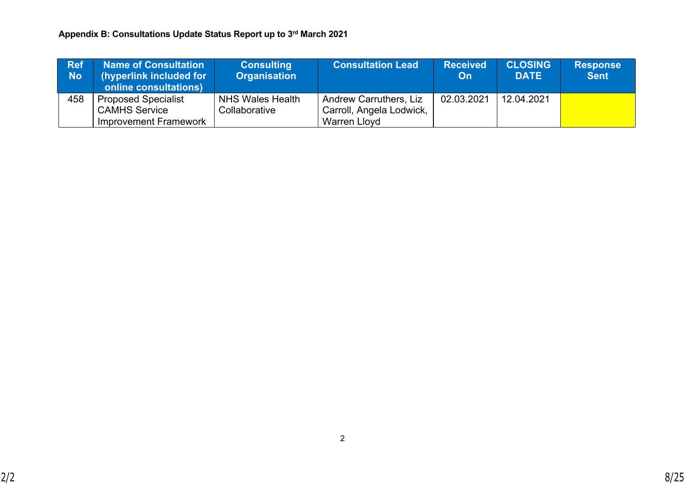| <b>Ref</b><br>No. | Name of Consultation<br>(hyperlink included for<br>online consultations) | <b>Consulting</b><br><b>Organisation</b> | <b>Consultation Lead</b>                                  | <b>Received</b><br><b>On</b> | <b>CLOSING</b><br><b>DATE</b> | <b>Response</b><br><b>Sent</b> |
|-------------------|--------------------------------------------------------------------------|------------------------------------------|-----------------------------------------------------------|------------------------------|-------------------------------|--------------------------------|
| 458               | <b>Proposed Specialist</b><br><b>CAMHS Service</b>                       | <b>NHS Wales Health</b><br>Collaborative | <b>Andrew Carruthers, Liz</b><br>Carroll, Angela Lodwick, | 02.03.2021                   | 12.04.2021                    |                                |
|                   | Improvement Framework                                                    |                                          | <b>Warren Lloyd</b>                                       |                              |                               |                                |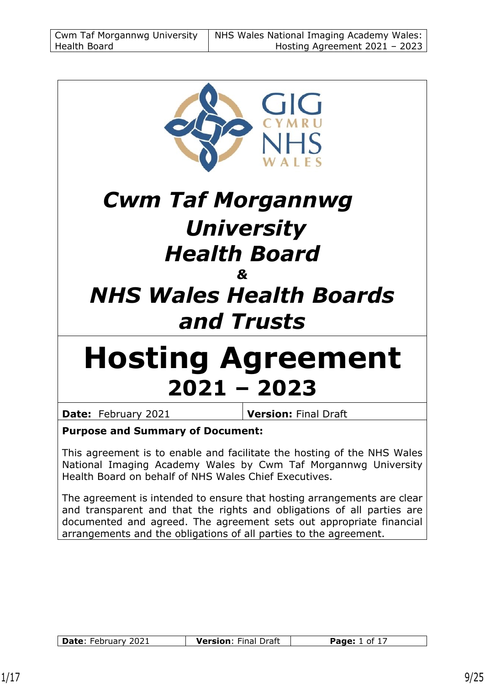

# *Cwm Taf Morgannwg University Health Board &*

# *NHS Wales Health Boards and Trusts*

# **Hosting Agreement 2021 – 2023**

**Date:** February 2021 **Version:** Final Draft

#### **Purpose and Summary of Document:**

This agreement is to enable and facilitate the hosting of the NHS Wales National Imaging Academy Wales by Cwm Taf Morgannwg University Health Board on behalf of NHS Wales Chief Executives.

The agreement is intended to ensure that hosting arrangements are clear and transparent and that the rights and obligations of all parties are documented and agreed. The agreement sets out appropriate financial arrangements and the obligations of all parties to the agreement.

| <b>Date: February 2021</b> | <b>Version: Final Draft</b> | <b>Page:</b> 1 of 17 |
|----------------------------|-----------------------------|----------------------|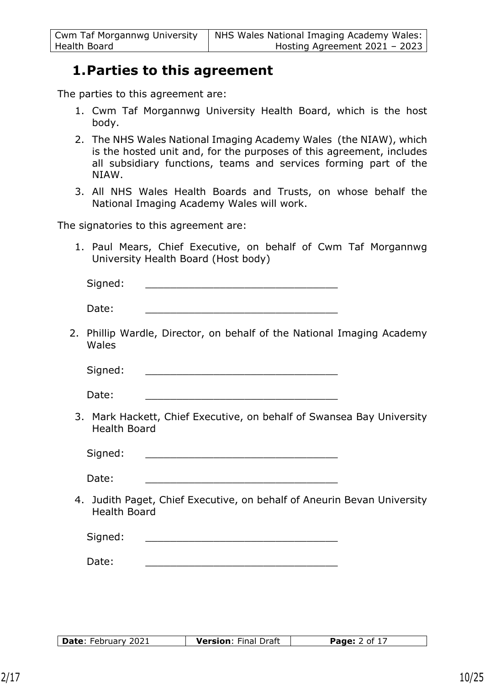## **1.Parties to this agreement**

The parties to this agreement are:

- 1. Cwm Taf Morgannwg University Health Board, which is the host body.
- 2. The NHS Wales National Imaging Academy Wales (the NIAW), which is the hosted unit and, for the purposes of this agreement, includes all subsidiary functions, teams and services forming part of the NIAW.
- 3. All NHS Wales Health Boards and Trusts, on whose behalf the National Imaging Academy Wales will work.

The signatories to this agreement are:

1. Paul Mears, Chief Executive, on behalf of Cwm Taf Morgannwg University Health Board (Host body)

| Signed: |                                                                        |  |  |
|---------|------------------------------------------------------------------------|--|--|
| Date:   |                                                                        |  |  |
| Wales   | 2. Phillip Wardle, Director, on behalf of the National Imaging Academy |  |  |

Signed:

Date:

3. Mark Hackett, Chief Executive, on behalf of Swansea Bay University Health Board

Signed:

Date: \_\_\_\_\_\_\_\_\_\_\_\_\_\_\_\_\_\_\_\_\_\_\_\_\_\_\_\_\_\_\_

4. Judith Paget, Chief Executive, on behalf of Aneurin Bevan University Health Board

| Sianad: |  |  |
|---------|--|--|
|         |  |  |

Date: \_\_\_\_\_\_\_\_\_\_\_\_\_\_\_\_\_\_\_\_\_\_\_\_\_\_\_\_\_\_\_

| Date: February 2021 | <b>Version: Final Draft</b> | <b>Page:</b> 2 of 17 |
|---------------------|-----------------------------|----------------------|
|                     |                             |                      |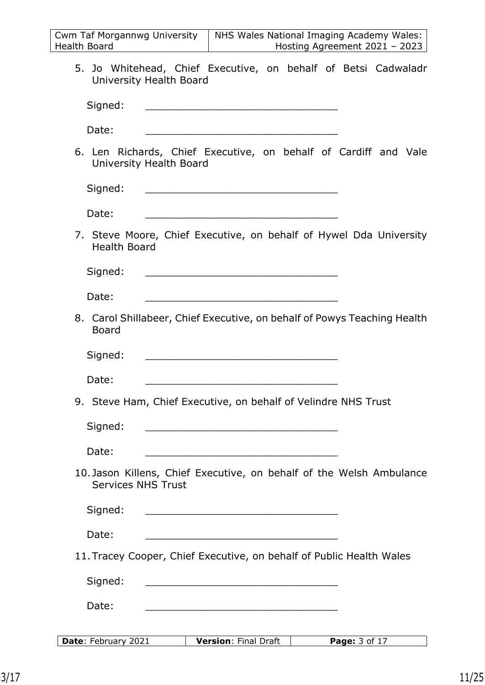| <b>Cwm Taf Morgannwg University</b> | NHS Wales National Imaging Academy Wales: |
|-------------------------------------|-------------------------------------------|
| Health Board                        | Hosting Agreement 2021 - 2023             |

5. Jo Whitehead, Chief Executive, on behalf of Betsi Cadwaladr University Health Board

| Signed: |  |  |  |
|---------|--|--|--|
|         |  |  |  |

Date: \_\_\_\_\_\_\_\_\_\_\_\_\_\_\_\_\_\_\_\_\_\_\_\_\_\_\_\_\_\_\_

6. Len Richards, Chief Executive, on behalf of Cardiff and Vale University Health Board

| Sianed:<br>$-$ , y, $ -$ |  |  |
|--------------------------|--|--|
|                          |  |  |

Date: \_\_\_\_\_\_\_\_\_\_\_\_\_\_\_\_\_\_\_\_\_\_\_\_\_\_\_\_\_\_\_

7. Steve Moore, Chief Executive, on behalf of Hywel Dda University Health Board

| Sianed:<br>Jigiicu. |  |
|---------------------|--|
|                     |  |

Date: \_\_\_\_\_\_\_\_\_\_\_\_\_\_\_\_\_\_\_\_\_\_\_\_\_\_\_\_\_\_\_

8. Carol Shillabeer, Chief Executive, on behalf of Powys Teaching Health Board

| Signed:<br>$-9.1$ |  |
|-------------------|--|
|                   |  |

Date: \_\_\_\_\_\_\_\_\_\_\_\_\_\_\_\_\_\_\_\_\_\_\_\_\_\_\_\_\_\_\_

9. Steve Ham, Chief Executive, on behalf of Velindre NHS Trust

| Date: |  |
|-------|--|
|       |  |

10. Jason Killens, Chief Executive, on behalf of the Welsh Ambulance Services NHS Trust

| Signed: |  |  |  |
|---------|--|--|--|
|         |  |  |  |

Date: \_\_\_\_\_\_\_\_\_\_\_\_\_\_\_\_\_\_\_\_\_\_\_\_\_\_\_\_\_\_\_

11. Tracey Cooper, Chief Executive, on behalf of Public Health Wales

Signed:

Date:  $\Box$ 

**Date:** February 2021 **Version:** Final Draft **Page:** 3 of 17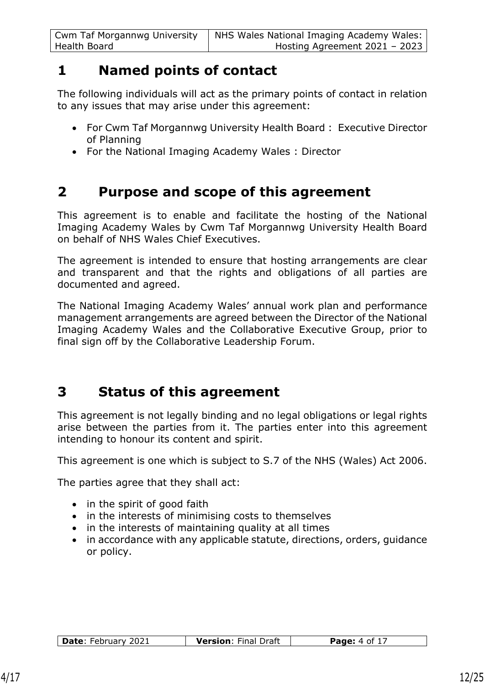# **1 Named points of contact**

The following individuals will act as the primary points of contact in relation to any issues that may arise under this agreement:

- For Cwm Taf Morgannwg University Health Board : Executive Director of Planning
- For the National Imaging Academy Wales : Director

# **2 Purpose and scope of this agreement**

This agreement is to enable and facilitate the hosting of the National Imaging Academy Wales by Cwm Taf Morgannwg University Health Board on behalf of NHS Wales Chief Executives.

The agreement is intended to ensure that hosting arrangements are clear and transparent and that the rights and obligations of all parties are documented and agreed.

The National Imaging Academy Wales' annual work plan and performance management arrangements are agreed between the Director of the National Imaging Academy Wales and the Collaborative Executive Group, prior to final sign off by the Collaborative Leadership Forum.

# **3 Status of this agreement**

This agreement is not legally binding and no legal obligations or legal rights arise between the parties from it. The parties enter into this agreement intending to honour its content and spirit.

This agreement is one which is subject to S.7 of the NHS (Wales) Act 2006.

The parties agree that they shall act:

- in the spirit of good faith
- in the interests of minimising costs to themselves
- in the interests of maintaining quality at all times
- in accordance with any applicable statute, directions, orders, quidance or policy.

| <b>Date: February 2021</b><br><b>Version: Final Draft</b><br><b>Page:</b> 4 of $17$ |
|-------------------------------------------------------------------------------------|
|-------------------------------------------------------------------------------------|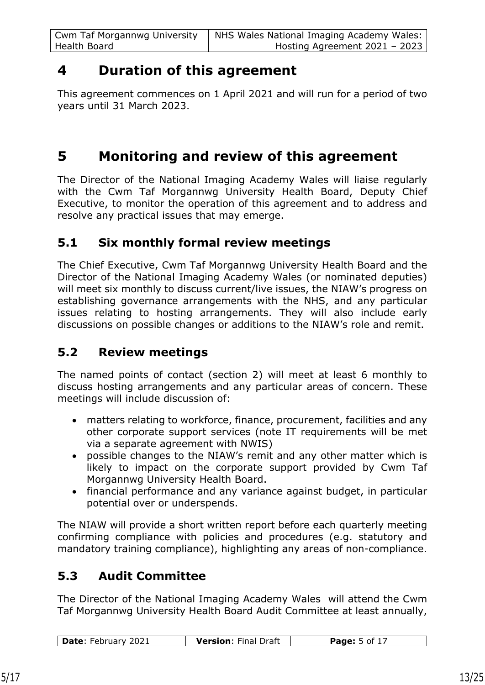# **4 Duration of this agreement**

This agreement commences on 1 April 2021 and will run for a period of two years until 31 March 2023.

# **5 Monitoring and review of this agreement**

The Director of the National Imaging Academy Wales will liaise regularly with the Cwm Taf Morgannwg University Health Board, Deputy Chief Executive, to monitor the operation of this agreement and to address and resolve any practical issues that may emerge.

## **5.1 Six monthly formal review meetings**

The Chief Executive, Cwm Taf Morgannwg University Health Board and the Director of the National Imaging Academy Wales (or nominated deputies) will meet six monthly to discuss current/live issues, the NIAW's progress on establishing governance arrangements with the NHS, and any particular issues relating to hosting arrangements. They will also include early discussions on possible changes or additions to the NIAW's role and remit.

## **5.2 Review meetings**

The named points of contact (section 2) will meet at least 6 monthly to discuss hosting arrangements and any particular areas of concern. These meetings will include discussion of:

- matters relating to workforce, finance, procurement, facilities and any other corporate support services (note IT requirements will be met via a separate agreement with NWIS)
- possible changes to the NIAW's remit and any other matter which is likely to impact on the corporate support provided by Cwm Taf Morgannwg University Health Board.
- financial performance and any variance against budget, in particular potential over or underspends.

The NIAW will provide a short written report before each quarterly meeting confirming compliance with policies and procedures (e.g. statutory and mandatory training compliance), highlighting any areas of non-compliance.

## **5.3 Audit Committee**

The Director of the National Imaging Academy Wales will attend the Cwm Taf Morgannwg University Health Board Audit Committee at least annually,

| Date: February 2021<br><b>Version: Final Draft</b><br><b>Page:</b> $5$ of $17$ |
|--------------------------------------------------------------------------------|
|--------------------------------------------------------------------------------|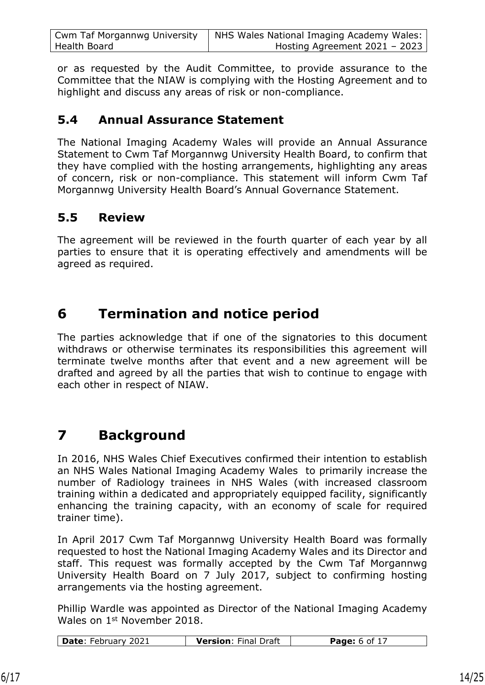| <b>Cwm Taf Morgannwg University</b> | NHS Wales National Imaging Academy Wales: |
|-------------------------------------|-------------------------------------------|
| Health Board                        | Hosting Agreement 2021 - 2023             |

or as requested by the Audit Committee, to provide assurance to the Committee that the NIAW is complying with the Hosting Agreement and to highlight and discuss any areas of risk or non-compliance.

#### **5.4 Annual Assurance Statement**

The National Imaging Academy Wales will provide an Annual Assurance Statement to Cwm Taf Morgannwg University Health Board, to confirm that they have complied with the hosting arrangements, highlighting any areas of concern, risk or non-compliance. This statement will inform Cwm Taf Morgannwg University Health Board's Annual Governance Statement.

## **5.5 Review**

The agreement will be reviewed in the fourth quarter of each year by all parties to ensure that it is operating effectively and amendments will be agreed as required.

# **6 Termination and notice period**

The parties acknowledge that if one of the signatories to this document withdraws or otherwise terminates its responsibilities this agreement will terminate twelve months after that event and a new agreement will be drafted and agreed by all the parties that wish to continue to engage with each other in respect of NIAW.

# **7 Background**

In 2016, NHS Wales Chief Executives confirmed their intention to establish an NHS Wales National Imaging Academy Wales to primarily increase the number of Radiology trainees in NHS Wales (with increased classroom training within a dedicated and appropriately equipped facility, significantly enhancing the training capacity, with an economy of scale for required trainer time).

In April 2017 Cwm Taf Morgannwg University Health Board was formally requested to host the National Imaging Academy Wales and its Director and staff. This request was formally accepted by the Cwm Taf Morgannwg University Health Board on 7 July 2017, subject to confirming hosting arrangements via the hosting agreement.

Phillip Wardle was appointed as Director of the National Imaging Academy Wales on 1st November 2018.

| Date: February 2021<br><b>Version: Final Draft</b><br><b>Page:</b> 6 of 17 |
|----------------------------------------------------------------------------|
|----------------------------------------------------------------------------|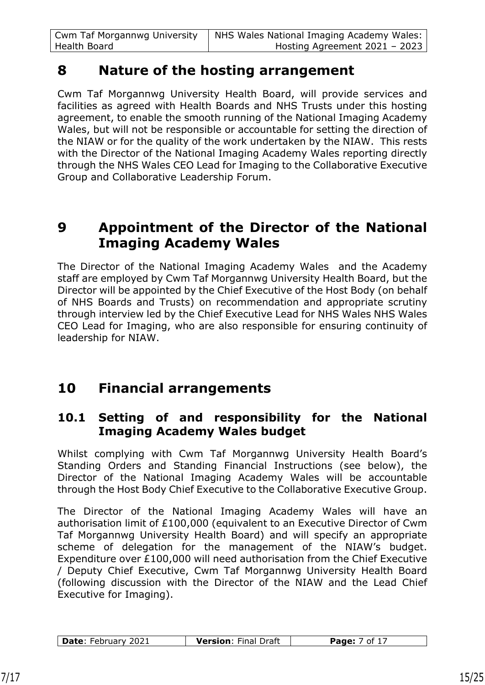# **8 Nature of the hosting arrangement**

Cwm Taf Morgannwg University Health Board, will provide services and facilities as agreed with Health Boards and NHS Trusts under this hosting agreement, to enable the smooth running of the National Imaging Academy Wales, but will not be responsible or accountable for setting the direction of the NIAW or for the quality of the work undertaken by the NIAW. This rests with the Director of the National Imaging Academy Wales reporting directly through the NHS Wales CEO Lead for Imaging to the Collaborative Executive Group and Collaborative Leadership Forum.

# **9 Appointment of the Director of the National Imaging Academy Wales**

The Director of the National Imaging Academy Wales and the Academy staff are employed by Cwm Taf Morgannwg University Health Board, but the Director will be appointed by the Chief Executive of the Host Body (on behalf of NHS Boards and Trusts) on recommendation and appropriate scrutiny through interview led by the Chief Executive Lead for NHS Wales NHS Wales CEO Lead for Imaging, who are also responsible for ensuring continuity of leadership for NIAW.

# **10 Financial arrangements**

### **10.1 Setting of and responsibility for the National Imaging Academy Wales budget**

Whilst complying with Cwm Taf Morgannwg University Health Board's Standing Orders and Standing Financial Instructions (see below), the Director of the National Imaging Academy Wales will be accountable through the Host Body Chief Executive to the Collaborative Executive Group.

The Director of the National Imaging Academy Wales will have an authorisation limit of £100,000 (equivalent to an Executive Director of Cwm Taf Morgannwg University Health Board) and will specify an appropriate scheme of delegation for the management of the NIAW's budget. Expenditure over £100,000 will need authorisation from the Chief Executive / Deputy Chief Executive, Cwm Taf Morgannwg University Health Board (following discussion with the Director of the NIAW and the Lead Chief Executive for Imaging).

| Date: February 2021 | <b>Version: Final Draft</b> | $\therefore$ 7 of 17 |
|---------------------|-----------------------------|----------------------|
|                     |                             |                      |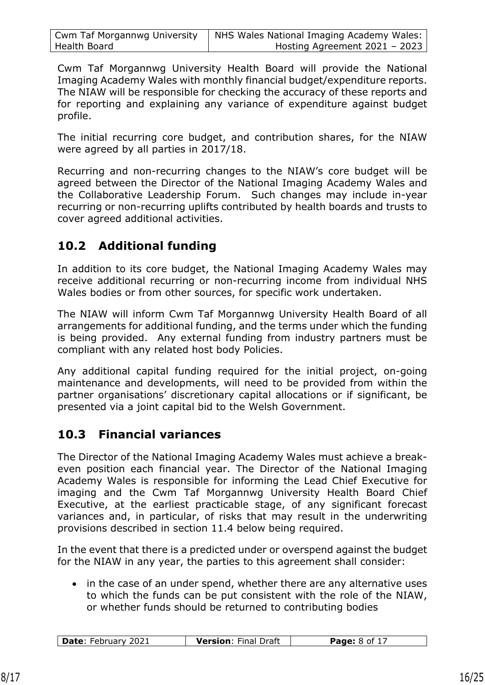| <b>Cwm Taf Morgannwg University</b> | NHS Wales National Imaging Academy Wales: |
|-------------------------------------|-------------------------------------------|
| Health Board                        | Hosting Agreement $2021 - 2023$           |

Cwm Taf Morgannwg University Health Board will provide the National Imaging Academy Wales with monthly financial budget/expenditure reports. The NIAW will be responsible for checking the accuracy of these reports and for reporting and explaining any variance of expenditure against budget profile.

The initial recurring core budget, and contribution shares, for the NIAW were agreed by all parties in 2017/18.

Recurring and non-recurring changes to the NIAW's core budget will be agreed between the Director of the National Imaging Academy Wales and the Collaborative Leadership Forum. Such changes may include in-year recurring or non-recurring uplifts contributed by health boards and trusts to cover agreed additional activities.

## **10.2 Additional funding**

In addition to its core budget, the National Imaging Academy Wales may receive additional recurring or non-recurring income from individual NHS Wales bodies or from other sources, for specific work undertaken.

The NIAW will inform Cwm Taf Morgannwg University Health Board of all arrangements for additional funding, and the terms under which the funding is being provided. Any external funding from industry partners must be compliant with any related host body Policies.

Any additional capital funding required for the initial project, on-going maintenance and developments, will need to be provided from within the partner organisations' discretionary capital allocations or if significant, be presented via a joint capital bid to the Welsh Government.

## **10.3 Financial variances**

The Director of the National Imaging Academy Wales must achieve a breakeven position each financial year. The Director of the National Imaging Academy Wales is responsible for informing the Lead Chief Executive for imaging and the Cwm Taf Morgannwg University Health Board Chief Executive, at the earliest practicable stage, of any significant forecast variances and, in particular, of risks that may result in the underwriting provisions described in section 11.4 below being required.

In the event that there is a predicted under or overspend against the budget for the NIAW in any year, the parties to this agreement shall consider:

• in the case of an under spend, whether there are any alternative uses to which the funds can be put consistent with the role of the NIAW, or whether funds should be returned to contributing bodies

| Date: February 2021<br><b>Version: Final Draft</b> | <b>Page:</b> 8 of 17 |
|----------------------------------------------------|----------------------|
|----------------------------------------------------|----------------------|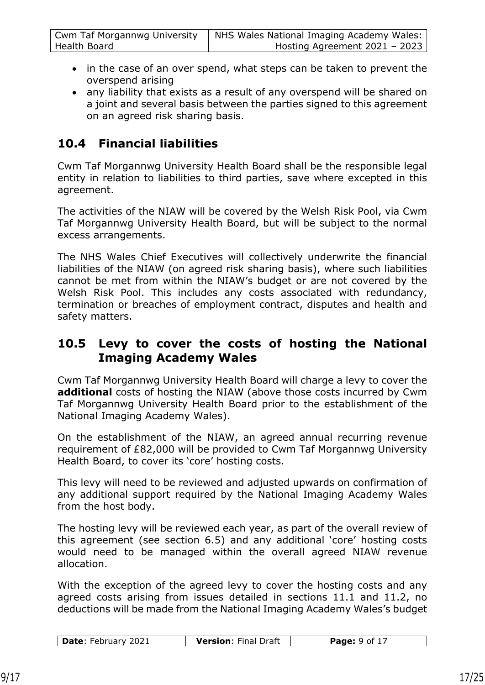| Cwm Taf Morgannwg University | NHS Wales National Imaging Academy Wales: |
|------------------------------|-------------------------------------------|
| Health Board                 | Hosting Agreement 2021 - 2023             |

- in the case of an over spend, what steps can be taken to prevent the overspend arising
- any liability that exists as a result of any overspend will be shared on a joint and several basis between the parties signed to this agreement on an agreed risk sharing basis.

## **10.4 Financial liabilities**

Cwm Taf Morgannwg University Health Board shall be the responsible legal entity in relation to liabilities to third parties, save where excepted in this agreement.

The activities of the NIAW will be covered by the Welsh Risk Pool, via Cwm Taf Morgannwg University Health Board, but will be subject to the normal excess arrangements.

The NHS Wales Chief Executives will collectively underwrite the financial liabilities of the NIAW (on agreed risk sharing basis), where such liabilities cannot be met from within the NIAW's budget or are not covered by the Welsh Risk Pool. This includes any costs associated with redundancy, termination or breaches of employment contract, disputes and health and safety matters.

#### **10.5 Levy to cover the costs of hosting the National Imaging Academy Wales**

Cwm Taf Morgannwg University Health Board will charge a levy to cover the **additional** costs of hosting the NIAW (above those costs incurred by Cwm Taf Morgannwg University Health Board prior to the establishment of the National Imaging Academy Wales).

On the establishment of the NIAW, an agreed annual recurring revenue requirement of £82,000 will be provided to Cwm Taf Morgannwg University Health Board, to cover its 'core' hosting costs.

This levy will need to be reviewed and adjusted upwards on confirmation of any additional support required by the National Imaging Academy Wales from the host body.

The hosting levy will be reviewed each year, as part of the overall review of this agreement (see section 6.5) and any additional 'core' hosting costs would need to be managed within the overall agreed NIAW revenue allocation.

With the exception of the agreed levy to cover the hosting costs and any agreed costs arising from issues detailed in sections 11.1 and 11.2, no deductions will be made from the National Imaging Academy Wales's budget

| $\vert$ Date: February 2021<br><b>Version: Final Draft</b> | <b>Page:</b> $9$ of 17 |
|------------------------------------------------------------|------------------------|
|------------------------------------------------------------|------------------------|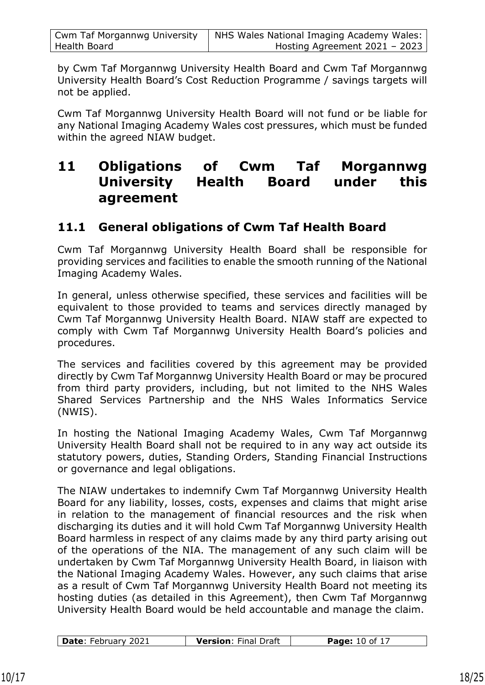| <b>Cwm Taf Morgannwg University</b> | NHS Wales National Imaging Academy Wales: |
|-------------------------------------|-------------------------------------------|
| Health Board                        | Hosting Agreement 2021 - 2023             |

by Cwm Taf Morgannwg University Health Board and Cwm Taf Morgannwg University Health Board's Cost Reduction Programme / savings targets will not be applied.

Cwm Taf Morgannwg University Health Board will not fund or be liable for any National Imaging Academy Wales cost pressures, which must be funded within the agreed NIAW budget.

# **11 Obligations of Cwm Taf Morgannwg University Health Board under this agreement**

## **11.1 General obligations of Cwm Taf Health Board**

Cwm Taf Morgannwg University Health Board shall be responsible for providing services and facilities to enable the smooth running of the National Imaging Academy Wales.

In general, unless otherwise specified, these services and facilities will be equivalent to those provided to teams and services directly managed by Cwm Taf Morgannwg University Health Board. NIAW staff are expected to comply with Cwm Taf Morgannwg University Health Board's policies and procedures.

The services and facilities covered by this agreement may be provided directly by Cwm Taf Morgannwg University Health Board or may be procured from third party providers, including, but not limited to the NHS Wales Shared Services Partnership and the NHS Wales Informatics Service (NWIS).

In hosting the National Imaging Academy Wales, Cwm Taf Morgannwg University Health Board shall not be required to in any way act outside its statutory powers, duties, Standing Orders, Standing Financial Instructions or governance and legal obligations.

The NIAW undertakes to indemnify Cwm Taf Morgannwg University Health Board for any liability, losses, costs, expenses and claims that might arise in relation to the management of financial resources and the risk when discharging its duties and it will hold Cwm Taf Morgannwg University Health Board harmless in respect of any claims made by any third party arising out of the operations of the NIA. The management of any such claim will be undertaken by Cwm Taf Morgannwg University Health Board, in liaison with the National Imaging Academy Wales. However, any such claims that arise as a result of Cwm Taf Morgannwg University Health Board not meeting its hosting duties (as detailed in this Agreement), then Cwm Taf Morgannwg University Health Board would be held accountable and manage the claim.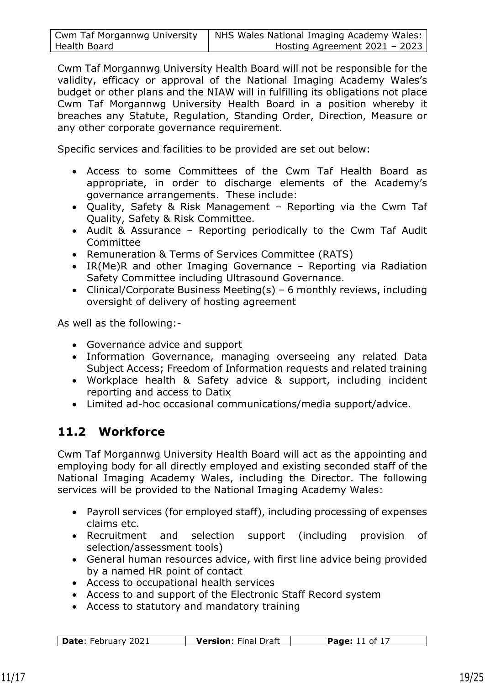| <b>Cwm Taf Morgannwg University</b> | NHS Wales National Imaging Academy Wales: |
|-------------------------------------|-------------------------------------------|
| Health Board                        | Hosting Agreement $2021 - 2023$           |

Cwm Taf Morgannwg University Health Board will not be responsible for the validity, efficacy or approval of the National Imaging Academy Wales's budget or other plans and the NIAW will in fulfilling its obligations not place Cwm Taf Morgannwg University Health Board in a position whereby it breaches any Statute, Regulation, Standing Order, Direction, Measure or any other corporate governance requirement.

Specific services and facilities to be provided are set out below:

- Access to some Committees of the Cwm Taf Health Board as appropriate, in order to discharge elements of the Academy's governance arrangements. These include:
- Quality, Safety & Risk Management Reporting via the Cwm Taf Quality, Safety & Risk Committee.
- Audit & Assurance Reporting periodically to the Cwm Taf Audit Committee
- Remuneration & Terms of Services Committee (RATS)
- IR(Me)R and other Imaging Governance Reporting via Radiation Safety Committee including Ultrasound Governance.
- Clinical/Corporate Business Meeting(s) 6 monthly reviews, including oversight of delivery of hosting agreement

As well as the following:-

- Governance advice and support
- Information Governance, managing overseeing any related Data Subject Access; Freedom of Information requests and related training
- Workplace health & Safety advice & support, including incident reporting and access to Datix
- Limited ad-hoc occasional communications/media support/advice.

# **11.2 Workforce**

Cwm Taf Morgannwg University Health Board will act as the appointing and employing body for all directly employed and existing seconded staff of the National Imaging Academy Wales, including the Director. The following services will be provided to the National Imaging Academy Wales:

- Payroll services (for employed staff), including processing of expenses claims etc.
- Recruitment and selection support (including provision of selection/assessment tools)
- General human resources advice, with first line advice being provided by a named HR point of contact
- Access to occupational health services
- Access to and support of the Electronic Staff Record system
- Access to statutory and mandatory training

| <b>Date: February 2021</b> | <b>Version: Final Draft</b> | <b>Page:</b> 11 of 17 |
|----------------------------|-----------------------------|-----------------------|
|                            |                             |                       |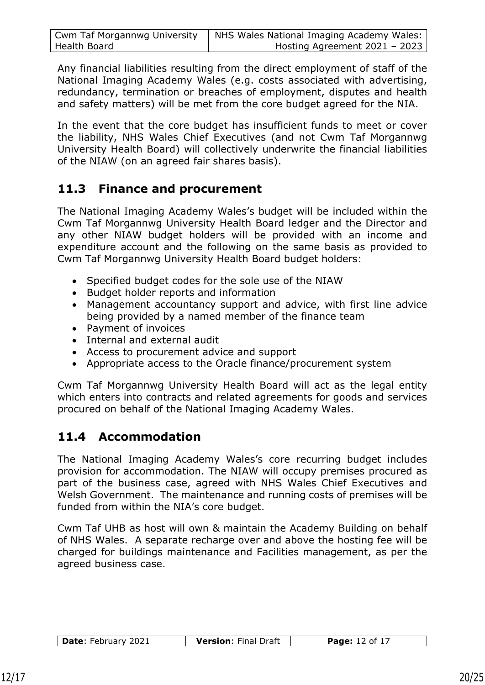| <b>Cwm Taf Morgannwg University</b> | NHS Wales National Imaging Academy Wales: |
|-------------------------------------|-------------------------------------------|
| Health Board                        | Hosting Agreement $2021 - 2023$           |

Any financial liabilities resulting from the direct employment of staff of the National Imaging Academy Wales (e.g. costs associated with advertising, redundancy, termination or breaches of employment, disputes and health and safety matters) will be met from the core budget agreed for the NIA.

In the event that the core budget has insufficient funds to meet or cover the liability, NHS Wales Chief Executives (and not Cwm Taf Morgannwg University Health Board) will collectively underwrite the financial liabilities of the NIAW (on an agreed fair shares basis).

### **11.3 Finance and procurement**

The National Imaging Academy Wales's budget will be included within the Cwm Taf Morgannwg University Health Board ledger and the Director and any other NIAW budget holders will be provided with an income and expenditure account and the following on the same basis as provided to Cwm Taf Morgannwg University Health Board budget holders:

- Specified budget codes for the sole use of the NIAW
- Budget holder reports and information
- Management accountancy support and advice, with first line advice being provided by a named member of the finance team
- Payment of invoices
- Internal and external audit
- Access to procurement advice and support
- Appropriate access to the Oracle finance/procurement system

Cwm Taf Morgannwg University Health Board will act as the legal entity which enters into contracts and related agreements for goods and services procured on behalf of the National Imaging Academy Wales.

## **11.4 Accommodation**

The National Imaging Academy Wales's core recurring budget includes provision for accommodation. The NIAW will occupy premises procured as part of the business case, agreed with NHS Wales Chief Executives and Welsh Government. The maintenance and running costs of premises will be funded from within the NIA's core budget.

Cwm Taf UHB as host will own & maintain the Academy Building on behalf of NHS Wales. A separate recharge over and above the hosting fee will be charged for buildings maintenance and Facilities management, as per the agreed business case.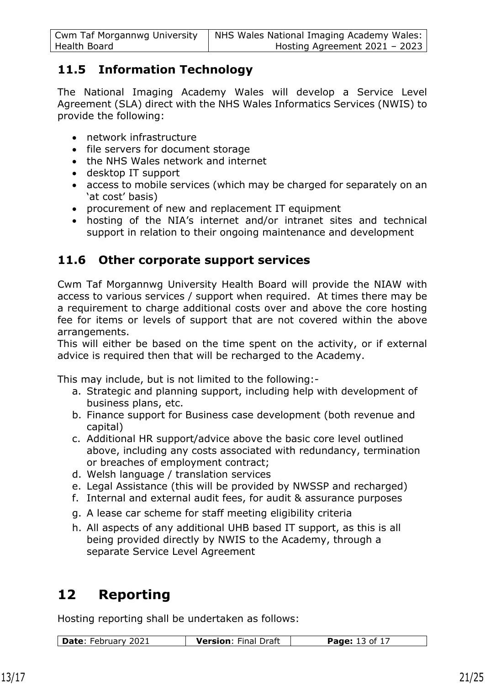| <b>Cwm Taf Morgannwg University</b> | NHS Wales National Imaging Academy Wales: |
|-------------------------------------|-------------------------------------------|
| Health Board                        | Hosting Agreement 2021 - 2023             |

## **11.5 Information Technology**

The National Imaging Academy Wales will develop a Service Level Agreement (SLA) direct with the NHS Wales Informatics Services (NWIS) to provide the following:

- network infrastructure
- file servers for document storage
- the NHS Wales network and internet
- desktop IT support
- access to mobile services (which may be charged for separately on an 'at cost' basis)
- procurement of new and replacement IT equipment
- hosting of the NIA's internet and/or intranet sites and technical support in relation to their ongoing maintenance and development

## **11.6 Other corporate support services**

Cwm Taf Morgannwg University Health Board will provide the NIAW with access to various services / support when required. At times there may be a requirement to charge additional costs over and above the core hosting fee for items or levels of support that are not covered within the above arrangements.

This will either be based on the time spent on the activity, or if external advice is required then that will be recharged to the Academy.

This may include, but is not limited to the following:-

- a. Strategic and planning support, including help with development of business plans, etc.
- b. Finance support for Business case development (both revenue and capital)
- c. Additional HR support/advice above the basic core level outlined above, including any costs associated with redundancy, termination or breaches of employment contract;
- d. Welsh language / translation services
- e. Legal Assistance (this will be provided by NWSSP and recharged)
- f. Internal and external audit fees, for audit & assurance purposes
- g. A lease car scheme for staff meeting eligibility criteria
- h. All aspects of any additional UHB based IT support, as this is all being provided directly by NWIS to the Academy, through a separate Service Level Agreement

# **12 Reporting**

Hosting reporting shall be undertaken as follows:

| Date: February 2021<br><b>Version: Final Draft</b><br><b>Page:</b> 13 of 17 |  |
|-----------------------------------------------------------------------------|--|
|-----------------------------------------------------------------------------|--|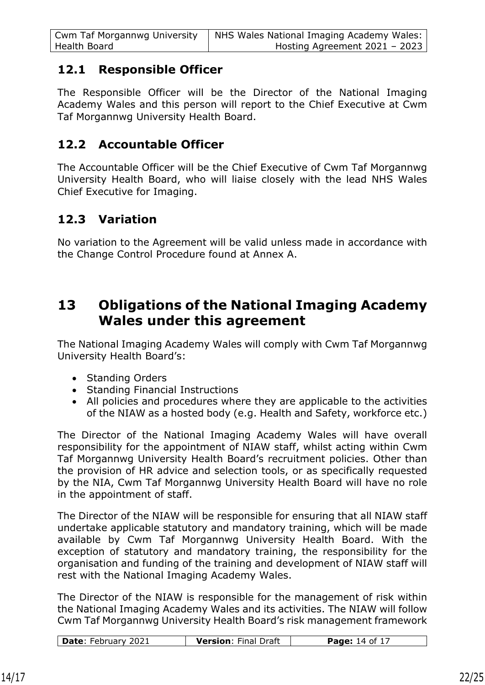| <b>Cwm Taf Morgannwg University</b> | NHS Wales National Imaging Academy Wales: |
|-------------------------------------|-------------------------------------------|
| Health Board                        | Hosting Agreement 2021 - 2023             |

### **12.1 Responsible Officer**

The Responsible Officer will be the Director of the National Imaging Academy Wales and this person will report to the Chief Executive at Cwm Taf Morgannwg University Health Board.

### **12.2 Accountable Officer**

The Accountable Officer will be the Chief Executive of Cwm Taf Morgannwg University Health Board, who will liaise closely with the lead NHS Wales Chief Executive for Imaging.

## **12.3 Variation**

No variation to the Agreement will be valid unless made in accordance with the Change Control Procedure found at Annex A.

# **13 Obligations of the National Imaging Academy Wales under this agreement**

The National Imaging Academy Wales will comply with Cwm Taf Morgannwg University Health Board's:

- Standing Orders
- Standing Financial Instructions
- All policies and procedures where they are applicable to the activities of the NIAW as a hosted body (e.g. Health and Safety, workforce etc.)

The Director of the National Imaging Academy Wales will have overall responsibility for the appointment of NIAW staff, whilst acting within Cwm Taf Morgannwg University Health Board's recruitment policies. Other than the provision of HR advice and selection tools, or as specifically requested by the NIA, Cwm Taf Morgannwg University Health Board will have no role in the appointment of staff.

The Director of the NIAW will be responsible for ensuring that all NIAW staff undertake applicable statutory and mandatory training, which will be made available by Cwm Taf Morgannwg University Health Board. With the exception of statutory and mandatory training, the responsibility for the organisation and funding of the training and development of NIAW staff will rest with the National Imaging Academy Wales.

The Director of the NIAW is responsible for the management of risk within the National Imaging Academy Wales and its activities. The NIAW will follow Cwm Taf Morgannwg University Health Board's risk management framework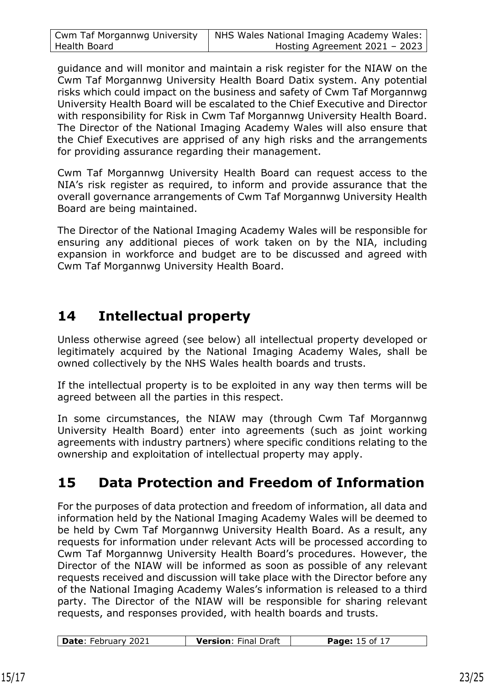| <b>Cwm Taf Morgannwg University</b> | NHS Wales National Imaging Academy Wales: |
|-------------------------------------|-------------------------------------------|
| Health Board                        | Hosting Agreement $2021 - 2023$           |

guidance and will monitor and maintain a risk register for the NIAW on the Cwm Taf Morgannwg University Health Board Datix system. Any potential risks which could impact on the business and safety of Cwm Taf Morgannwg University Health Board will be escalated to the Chief Executive and Director with responsibility for Risk in Cwm Taf Morgannwg University Health Board. The Director of the National Imaging Academy Wales will also ensure that the Chief Executives are apprised of any high risks and the arrangements for providing assurance regarding their management.

Cwm Taf Morgannwg University Health Board can request access to the NIA's risk register as required, to inform and provide assurance that the overall governance arrangements of Cwm Taf Morgannwg University Health Board are being maintained.

The Director of the National Imaging Academy Wales will be responsible for ensuring any additional pieces of work taken on by the NIA, including expansion in workforce and budget are to be discussed and agreed with Cwm Taf Morgannwg University Health Board.

# **14 Intellectual property**

Unless otherwise agreed (see below) all intellectual property developed or legitimately acquired by the National Imaging Academy Wales, shall be owned collectively by the NHS Wales health boards and trusts.

If the intellectual property is to be exploited in any way then terms will be agreed between all the parties in this respect.

In some circumstances, the NIAW may (through Cwm Taf Morgannwg University Health Board) enter into agreements (such as joint working agreements with industry partners) where specific conditions relating to the ownership and exploitation of intellectual property may apply.

# **15 Data Protection and Freedom of Information**

For the purposes of data protection and freedom of information, all data and information held by the National Imaging Academy Wales will be deemed to be held by Cwm Taf Morgannwg University Health Board. As a result, any requests for information under relevant Acts will be processed according to Cwm Taf Morgannwg University Health Board's procedures. However, the Director of the NIAW will be informed as soon as possible of any relevant requests received and discussion will take place with the Director before any of the National Imaging Academy Wales's information is released to a third party. The Director of the NIAW will be responsible for sharing relevant requests, and responses provided, with health boards and trusts.

| Date: February 2021<br><b>Version: Final Draft</b> | <b>Page:</b> 15 of 17 |
|----------------------------------------------------|-----------------------|
|----------------------------------------------------|-----------------------|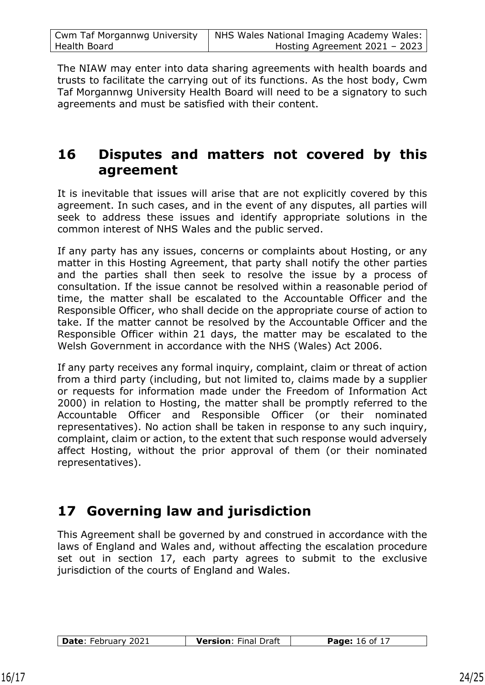| <b>Cwm Taf Morgannwg University</b> | NHS Wales National Imaging Academy Wales: |
|-------------------------------------|-------------------------------------------|
| Health Board                        | Hosting Agreement $2021 - 2023$           |

The NIAW may enter into data sharing agreements with health boards and trusts to facilitate the carrying out of its functions. As the host body, Cwm Taf Morgannwg University Health Board will need to be a signatory to such agreements and must be satisfied with their content.

# **16 Disputes and matters not covered by this agreement**

It is inevitable that issues will arise that are not explicitly covered by this agreement. In such cases, and in the event of any disputes, all parties will seek to address these issues and identify appropriate solutions in the common interest of NHS Wales and the public served.

If any party has any issues, concerns or complaints about Hosting, or any matter in this Hosting Agreement, that party shall notify the other parties and the parties shall then seek to resolve the issue by a process of consultation. If the issue cannot be resolved within a reasonable period of time, the matter shall be escalated to the Accountable Officer and the Responsible Officer, who shall decide on the appropriate course of action to take. If the matter cannot be resolved by the Accountable Officer and the Responsible Officer within 21 days, the matter may be escalated to the Welsh Government in accordance with the NHS (Wales) Act 2006.

If any party receives any formal inquiry, complaint, claim or threat of action from a third party (including, but not limited to, claims made by a supplier or requests for information made under the Freedom of Information Act 2000) in relation to Hosting, the matter shall be promptly referred to the Accountable Officer and Responsible Officer (or their nominated representatives). No action shall be taken in response to any such inquiry, complaint, claim or action, to the extent that such response would adversely affect Hosting, without the prior approval of them (or their nominated representatives).

# **17 Governing law and jurisdiction**

This Agreement shall be governed by and construed in accordance with the laws of England and Wales and, without affecting the escalation procedure set out in section 17, each party agrees to submit to the exclusive jurisdiction of the courts of England and Wales.

| Date: February 2021<br><b>Version: Final Draft</b><br><b>Page:</b> 16 of 17 |  |
|-----------------------------------------------------------------------------|--|
|-----------------------------------------------------------------------------|--|